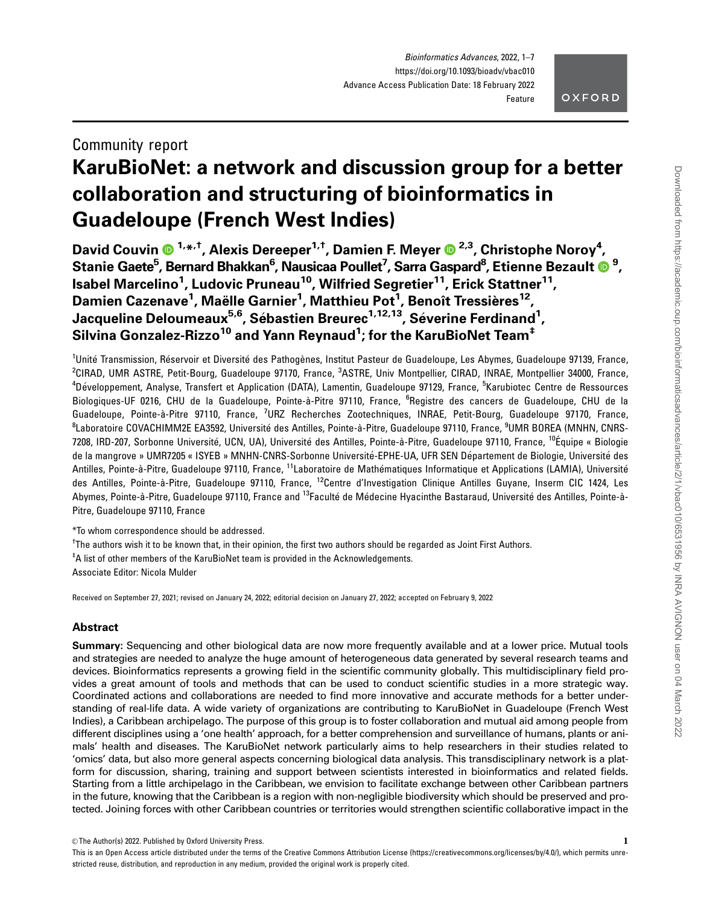# OXFORD

# Community report KaruBioNet: a network and discussion group for a better collaboration and structuring of bioinformatics in Guadeloupe (French West Indies)

David Couvin  $\mathbf{0}^{1,\ast,\dagger}$ , Alexis Dereeper $^{1,\dagger}$ , Damien F. Meyer  $\mathbf{0}^{2,3}$ , Christophe Noroy $^4$ , Stanie Gaete<sup>5</sup>, Bernard Bhakkan<sup>6</sup>, Nausicaa Poullet<sup>7</sup>, Sarra Gaspard<sup>8</sup>, Etienne Bezault **®** <sup>9</sup>, Isabel Marcelino<sup>1</sup>, Ludovic Pruneau<sup>10</sup>, Wilfried Segretier<sup>11</sup>, Erick Stattner<sup>11</sup>, Damien Cazenave<sup>1</sup>, Maëlle Garnier<sup>1</sup>, Matthieu Pot<sup>1</sup>, Benoît Tressières<sup>12</sup>, Jacqueline Deloumeaux<sup>5,6</sup>, Sébastien Breurec<sup>1,12,13</sup>, Séverine Ferdinand<sup>1</sup>, Silvina Gonzalez-Rizzo $^{\mathsf{10}}$  and Yann Reynaud $^{\mathsf{1}}$ ; for the KaruBioNet Team $^{\mathsf{t}}$ 

<sup>1</sup>Unité Transmission, Réservoir et Diversité des Pathogènes, Institut Pasteur de Guadeloupe, Les Abymes, Guadeloupe 97139, France, <sup>2</sup>CIRAD, UMR ASTRE, Petit-Bourg, Guadeloupe 97170, France, <sup>3</sup>ASTRE, Univ Montpellier, CIRAD, INRAE, Montpellier 34000, France, <sup>4</sup>Développement, Analyse, Transfert et Application (DATA), Lamentin, Guadeloupe 97129, France, <sup>5</sup>Karubiotec Centre de Ressources Biologiques-UF 0216, CHU de la Guadeloupe, Pointe-à-Pitre 97110, France, <sup>6</sup>Registre des cancers de Guadeloupe, CHU de la Guadeloupe, Pointe-à-Pitre 97110, France, <sup>7</sup>URZ Recherches Zootechniques, INRAE, Petit-Bourg, Guadeloupe 97170, France, <sup>8</sup>Laboratoire COVACHIMM2E EA3592, Université des Antilles, Pointe-à-Pitre, Guadeloupe 97110, France, <sup>9</sup>UMR BOREA (MNHN, CNRS-7208, IRD-207, Sorbonne Université, UCN, UA), Université des Antilles, Pointe-à-Pitre, Guadeloupe 97110, France, <sup>10</sup>Équipe « Biologie de la mangrove » UMR7205 « ISYEB » MNHN-CNRS-Sorbonne Université-EPHE-UA, UFR SEN Département de Biologie, Université des Antilles, Pointe-à-Pitre, Guadeloupe 97110, France, <sup>11</sup>Laboratoire de Mathématiques Informatique et Applications (LAMIA), Université des Antilles, Pointe-à-Pitre, Guadeloupe 97110, France, <sup>12</sup>Centre d'Investigation Clinique Antilles Guyane, Inserm CIC 1424, Les Abymes, Pointe-à-Pitre, Guadeloupe 97110, France and <sup>13</sup>Faculté de Médecine Hyacinthe Bastaraud, Université des Antilles, Pointe-à-Pitre, Guadeloupe 97110, France

\*To whom correspondence should be addressed.

† The authors wish it to be known that, in their opinion, the first two authors should be regarded as Joint First Authors.

‡ A list of other members of the KaruBioNet team is provided in the Acknowledgements.

Associate Editor: Nicola Mulder

Received on September 27, 2021; revised on January 24, 2022; editorial decision on January 27, 2022; accepted on February 9, 2022

# Abstract

Summary: Sequencing and other biological data are now more frequently available and at a lower price. Mutual tools and strategies are needed to analyze the huge amount of heterogeneous data generated by several research teams and devices. Bioinformatics represents a growing field in the scientific community globally. This multidisciplinary field provides a great amount of tools and methods that can be used to conduct scientific studies in a more strategic way. Coordinated actions and collaborations are needed to find more innovative and accurate methods for a better understanding of real-life data. A wide variety of organizations are contributing to KaruBioNet in Guadeloupe (French West Indies), a Caribbean archipelago. The purpose of this group is to foster collaboration and mutual aid among people from different disciplines using a 'one health' approach, for a better comprehension and surveillance of humans, plants or animals' health and diseases. The KaruBioNet network particularly aims to help researchers in their studies related to 'omics' data, but also more general aspects concerning biological data analysis. This transdisciplinary network is a platform for discussion, sharing, training and support between scientists interested in bioinformatics and related fields. Starting from a little archipelago in the Caribbean, we envision to facilitate exchange between other Caribbean partners in the future, knowing that the Caribbean is a region with non-negligible biodiversity which should be preserved and protected. Joining forces with other Caribbean countries or territories would strengthen scientific collaborative impact in the

 $\heartsuit$  The Author(s) 2022. Published by Oxford University Press.  $1$ 

This is an Open Access article distributed under the terms of the Creative Commons Attribution License (https://creativecommons.org/licenses/by/4.0/), which permits unrestricted reuse, distribution, and reproduction in any medium, provided the original work is properly cited.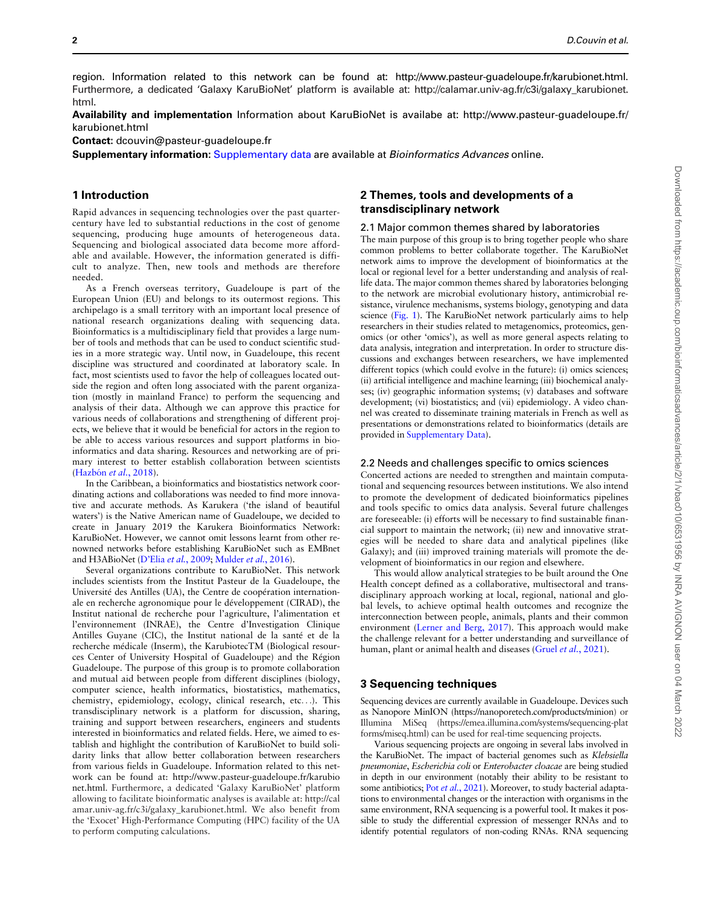region. Information related to this network can be found at: [http://www.pasteur-guadeloupe.fr/karubionet.html.](http://www.pasteur-guadeloupe.fr/karubionet.html) Furthermore, a dedicated 'Galaxy KaruBioNet' platform is available at: [http://calamar.univ-ag.fr/c3i/galaxy\\_karubionet.](http://calamar.univ-ag.fr/c3i/galaxy_karubionet.html) [html.](http://calamar.univ-ag.fr/c3i/galaxy_karubionet.html)

Availability and implementation Information about KaruBioNet is availabe at: http://www.pasteur-guadeloupe.fr/ karubionet.html

Contact: dcouvin@pasteur-guadeloupe.fr

Supplementary information: [Supplementary data](https://academic.oup.com/bioinformaticsadvancesarticle-lookup/doi/10.1093/bioadv/vbac010#supplementary-data) are available at Bioinformatics Advances online.

#### 1 Introduction

Rapid advances in sequencing technologies over the past quartercentury have led to substantial reductions in the cost of genome sequencing, producing huge amounts of heterogeneous data. Sequencing and biological associated data become more affordable and available. However, the information generated is difficult to analyze. Then, new tools and methods are therefore needed.

As a French overseas territory, Guadeloupe is part of the European Union (EU) and belongs to its outermost regions. This archipelago is a small territory with an important local presence of national research organizations dealing with sequencing data. Bioinformatics is a multidisciplinary field that provides a large number of tools and methods that can be used to conduct scientific studies in a more strategic way. Until now, in Guadeloupe, this recent discipline was structured and coordinated at laboratory scale. In fact, most scientists used to favor the help of colleagues located outside the region and often long associated with the parent organization (mostly in mainland France) to perform the sequencing and analysis of their data. Although we can approve this practice for various needs of collaborations and strengthening of different projects, we believe that it would be beneficial for actors in the region to be able to access various resources and support platforms in bioinformatics and data sharing. Resources and networking are of primary interest to better establish collaboration between scientists (Hazbón et al., 2018).

In the Caribbean, a bioinformatics and biostatistics network coordinating actions and collaborations was needed to find more innovative and accurate methods. As Karukera ('the island of beautiful waters') is the Native American name of Guadeloupe, we decided to create in January 2019 the Karukera Bioinformatics Network: KaruBioNet. However, we cannot omit lessons learnt from other renowned networks before establishing KaruBioNet such as EMBnet and H3ABioNet (D'Elia et al.[, 2009;](#page-6-0) [Mulder](#page-6-0) et al., 2016).

Several organizations contribute to KaruBioNet. This network includes scientists from the Institut Pasteur de la Guadeloupe, the Université des Antilles (UA), the Centre de coopération internationale en recherche agronomique pour le développement (CIRAD), the Institut national de recherche pour l'agriculture, l'alimentation et l'environnement (INRAE), the Centre d'Investigation Clinique Antilles Guyane (CIC), the Institut national de la santé et de la recherche médicale (Inserm), the KarubiotecTM (Biological resources Center of University Hospital of Guadeloupe) and the Région Guadeloupe. The purpose of this group is to promote collaboration and mutual aid between people from different disciplines (biology, computer science, health informatics, biostatistics, mathematics, chemistry, epidemiology, ecology, clinical research, etc...). This transdisciplinary network is a platform for discussion, sharing, training and support between researchers, engineers and students interested in bioinformatics and related fields. Here, we aimed to establish and highlight the contribution of KaruBioNet to build solidarity links that allow better collaboration between researchers from various fields in Guadeloupe. Information related to this network can be found at: [http://www.pasteur-guadeloupe.fr/karubio](http://www.pasteur-guadeloupe.fr/karubionet.html) [net.html.](http://www.pasteur-guadeloupe.fr/karubionet.html) Furthermore, a dedicated 'Galaxy KaruBioNet' platform allowing to facilitate bioinformatic analyses is available at: [http://cal](http://calamar.univ-ag.fr/c3i/galaxy_karubionet.html) [amar.univ-ag.fr/c3i/galaxy\\_karubionet.html.](http://calamar.univ-ag.fr/c3i/galaxy_karubionet.html) We also benefit from the 'Exocet' High-Performance Computing (HPC) facility of the UA to perform computing calculations.

# 2 Themes, tools and developments of a transdisciplinary network

#### 2.1 Major common themes shared by laboratories

The main purpose of this group is to bring together people who share common problems to better collaborate together. The KaruBioNet network aims to improve the development of bioinformatics at the local or regional level for a better understanding and analysis of reallife data. The major common themes shared by laboratories belonging to the network are microbial evolutionary history, antimicrobial resistance, virulence mechanisms, systems biology, genotyping and data science [\(Fig. 1](#page-2-0)). The KaruBioNet network particularly aims to help researchers in their studies related to metagenomics, proteomics, genomics (or other 'omics'), as well as more general aspects relating to data analysis, integration and interpretation. In order to structure discussions and exchanges between researchers, we have implemented different topics (which could evolve in the future): (i) omics sciences; (ii) artificial intelligence and machine learning; (iii) biochemical analyses; (iv) geographic information systems; (v) databases and software development; (vi) biostatistics; and (vii) epidemiology. A video channel was created to disseminate training materials in French as well as presentations or demonstrations related to bioinformatics (details are provided in [Supplementary Data](https://academic.oup.com/bioinformaticsadvancesarticle-lookup/doi/10.1093/bioadv/vbac010#supplementary-data)).

#### 2.2 Needs and challenges specific to omics sciences

Concerted actions are needed to strengthen and maintain computational and sequencing resources between institutions. We also intend to promote the development of dedicated bioinformatics pipelines and tools specific to omics data analysis. Several future challenges are foreseeable: (i) efforts will be necessary to find sustainable financial support to maintain the network; (ii) new and innovative strategies will be needed to share data and analytical pipelines (like Galaxy); and (iii) improved training materials will promote the development of bioinformatics in our region and elsewhere.

This would allow analytical strategies to be built around the One Health concept defined as a collaborative, multisectoral and transdisciplinary approach working at local, regional, national and global levels, to achieve optimal health outcomes and recognize the interconnection between people, animals, plants and their common environment [\(Lerner and Berg, 2017](#page-6-0)). This approach would make the challenge relevant for a better understanding and surveillance of human, plant or animal health and diseases (Gruel et al.[, 2021\)](#page-6-0).

## 3 Sequencing techniques

Sequencing devices are currently available in Guadeloupe. Devices such as Nanopore MinION (<https://nanoporetech.com/products/minion>) or Illumina MiSeq [\(https://emea.illumina.com/systems/sequencing-plat](https://emea.illumina.com/systems/sequencing-platforms/miseq.html) [forms/miseq.html](https://emea.illumina.com/systems/sequencing-platforms/miseq.html)) can be used for real-time sequencing projects.

Various sequencing projects are ongoing in several labs involved in the KaruBioNet. The impact of bacterial genomes such as Klebsiella pneumoniae, Escherichia coli or Enterobacter cloacae are being studied in depth in our environment (notably their ability to be resistant to some antibiotics; Pot et al.[, 2021](#page-6-0)). Moreover, to study bacterial adaptations to environmental changes or the interaction with organisms in the same environment, RNA sequencing is a powerful tool. It makes it possible to study the differential expression of messenger RNAs and to identify potential regulators of non-coding RNAs. RNA sequencing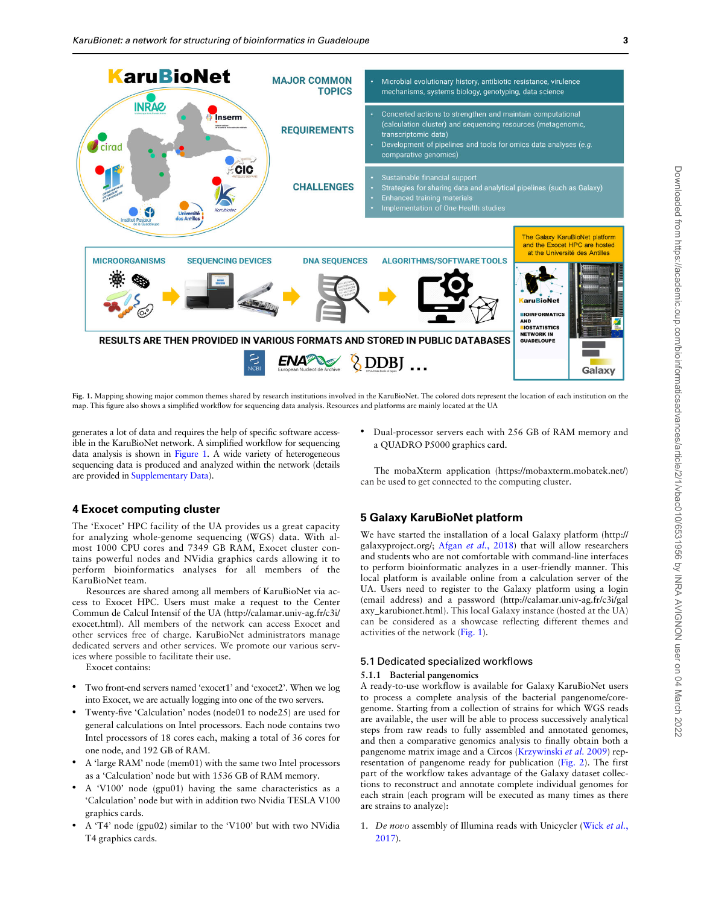<span id="page-2-0"></span>

Fig. 1. Mapping showing major common themes shared by research institutions involved in the KaruBioNet. The colored dots represent the location of each institution on the map. This figure also shows a simplified workflow for sequencing data analysis. Resources and platforms are mainly located at the UA

generates a lot of data and requires the help of specific software accessible in the KaruBioNet network. A simplified workflow for sequencing data analysis is shown in Figure 1. A wide variety of heterogeneous sequencing data is produced and analyzed within the network (details are provided in [Supplementary Data](https://academic.oup.com/bioinformaticsadvancesarticle-lookup/doi/10.1093/bioadv/vbac010#supplementary-data)).

# 4 Exocet computing cluster

The 'Exocet' HPC facility of the UA provides us a great capacity for analyzing whole-genome sequencing (WGS) data. With almost 1000 CPU cores and 7349 GB RAM, Exocet cluster contains powerful nodes and NVidia graphics cards allowing it to perform bioinformatics analyses for all members of the KaruBioNet team.

Resources are shared among all members of KaruBioNet via access to Exocet HPC. Users must make a request to the Center Commun de Calcul Intensif of the UA [\(http://calamar.univ-ag.fr/c3i/](http://calamar.univ-ag.fr/c3i/exocet.html) [exocet.html\)](http://calamar.univ-ag.fr/c3i/exocet.html). All members of the network can access Exocet and other services free of charge. KaruBioNet administrators manage dedicated servers and other services. We promote our various services where possible to facilitate their use.

Exocet contains:

- Two front-end servers named 'exocet1' and 'exocet2'. When we log into Exocet, we are actually logging into one of the two servers.
- Twenty-five 'Calculation' nodes (node01 to node25) are used for general calculations on Intel processors. Each node contains two Intel processors of 18 cores each, making a total of 36 cores for one node, and 192 GB of RAM.
- A 'large RAM' node (mem01) with the same two Intel processors as a 'Calculation' node but with 1536 GB of RAM memory.
- A 'V100' node (gpu01) having the same characteristics as a 'Calculation' node but with in addition two Nvidia TESLA V100 graphics cards.
- A 'T4' node (gpu02) similar to the 'V100' but with two NVidia T4 graphics cards.

• Dual-processor servers each with 256 GB of RAM memory and a QUADRO P5000 graphics card.

The mobaXterm application [\(https://mobaxterm.mobatek.net/](https://mobaxterm.mobatek.net/)) can be used to get connected to the computing cluster.

# 5 Galaxy KaruBioNet platform

We have started the installation of a local Galaxy platform [\(http://](http://galaxyproject.org/) [galaxyproject.org/;](http://galaxyproject.org/) Afgan et al.[, 2018\)](#page-6-0) that will allow researchers and students who are not comfortable with command-line interfaces to perform bioinformatic analyzes in a user-friendly manner. This local platform is available online from a calculation server of the UA. Users need to register to the Galaxy platform using a login (email address) and a password ([http://calamar.univ-ag.fr/c3i/gal](http://calamar.univ-ag.fr/c3i/galaxy_karubionet.html) [axy\\_karubionet.html](http://calamar.univ-ag.fr/c3i/galaxy_karubionet.html)). This local Galaxy instance (hosted at the UA) can be considered as a showcase reflecting different themes and activities of the network (Fig. 1).

# 5.1 Dedicated specialized workflows

#### 5.1.1 Bacterial pangenomics

A ready-to-use workflow is available for Galaxy KaruBioNet users to process a complete analysis of the bacterial pangenome/coregenome. Starting from a collection of strains for which WGS reads are available, the user will be able to process successively analytical steps from raw reads to fully assembled and annotated genomes, and then a comparative genomics analysis to finally obtain both a pangenome matrix image and a Circos ([Krzywinski](#page-6-0) et al. 2009) representation of pangenome ready for publication [\(Fig. 2\)](#page-3-0). The first part of the workflow takes advantage of the Galaxy dataset collections to reconstruct and annotate complete individual genomes for each strain (each program will be executed as many times as there are strains to analyze):

1. De novo assembly of Illumina reads with Unicycler [\(Wick](#page-6-0) et al., [2017\)](#page-6-0).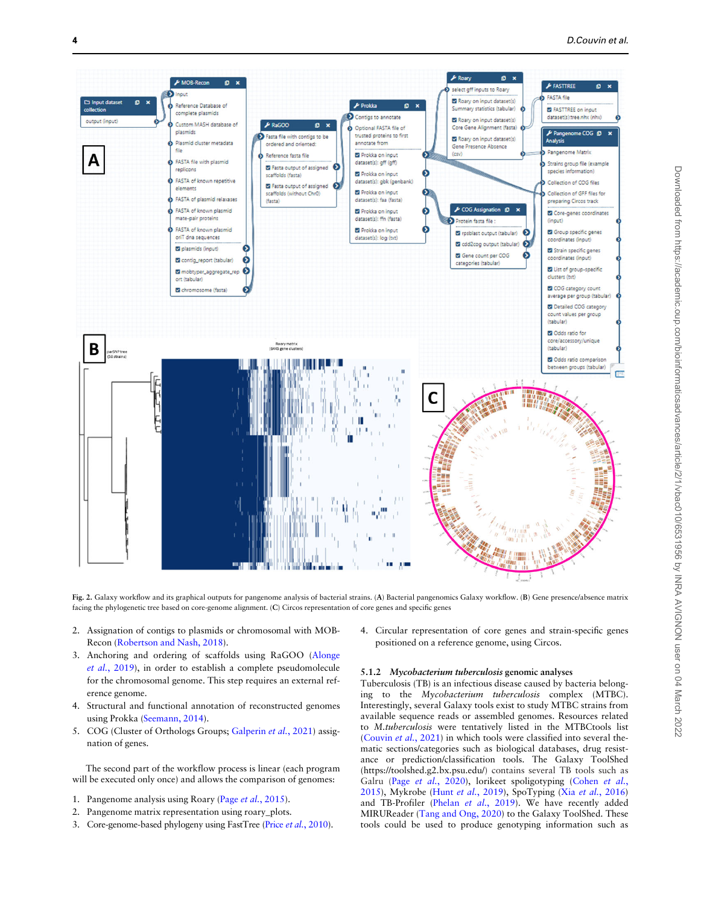<span id="page-3-0"></span>

Fig. 2. Galaxy workflow and its graphical outputs for pangenome analysis of bacterial strains. (A) Bacterial pangenomics Galaxy workflow. (B) Gene presence/absence matrix facing the phylogenetic tree based on core-genome alignment. (C) Circos representation of core genes and specific genes

- 2. Assignation of contigs to plasmids or chromosomal with MOB-Recon [\(Robertson and Nash, 2018\)](#page-6-0).
- 3. Anchoring and ordering of scaffolds using RaGOO ([Alonge](#page-6-0) et al.[, 2019](#page-6-0)), in order to establish a complete pseudomolecule for the chromosomal genome. This step requires an external reference genome.
- 4. Structural and functional annotation of reconstructed genomes using Prokka [\(Seemann, 2014\)](#page-6-0).
- 5. COG (Cluster of Orthologs Groups; [Galperin](#page-6-0) et al., 2021) assignation of genes.

The second part of the workflow process is linear (each program will be executed only once) and allows the comparison of genomes:

- 1. Pangenome analysis using Roary (Page et al.[, 2015\)](#page-6-0).
- 2. Pangenome matrix representation using roary\_plots.
- 3. Core-genome-based phylogeny using FastTree (Price et al.[, 2010\)](#page-6-0).

4. Circular representation of core genes and strain-specific genes positioned on a reference genome, using Circos.

#### 5.1.2 Mycobacterium tuberculosis genomic analyses

Tuberculosis (TB) is an infectious disease caused by bacteria belonging to the Mycobacterium tuberculosis complex (MTBC). Interestingly, several Galaxy tools exist to study MTBC strains from available sequence reads or assembled genomes. Resources related to M.tuberculosis were tentatively listed in the MTBCtools list ([Couvin](#page-6-0) et al., 2021) in which tools were classified into several thematic sections/categories such as biological databases, drug resistance or prediction/classification tools. The Galaxy ToolShed ([https://toolshed.g2.bx.psu.edu/\)](https://toolshed.g2.bx.psu.edu/) contains several TB tools such as Galru (Page et al.[, 2020\)](#page-6-0), lorikeet spoligotyping [\(Cohen](#page-6-0) et al., [2015\)](#page-6-0), Mykrobe (Hunt et al.[, 2019\)](#page-6-0), SpoTyping (Xia et al.[, 2016](#page-6-0)) and TB-Profiler (Phelan et al.[, 2019](#page-6-0)). We have recently added MIRUReader [\(Tang and Ong, 2020](#page-6-0)) to the Galaxy ToolShed. These tools could be used to produce genotyping information such as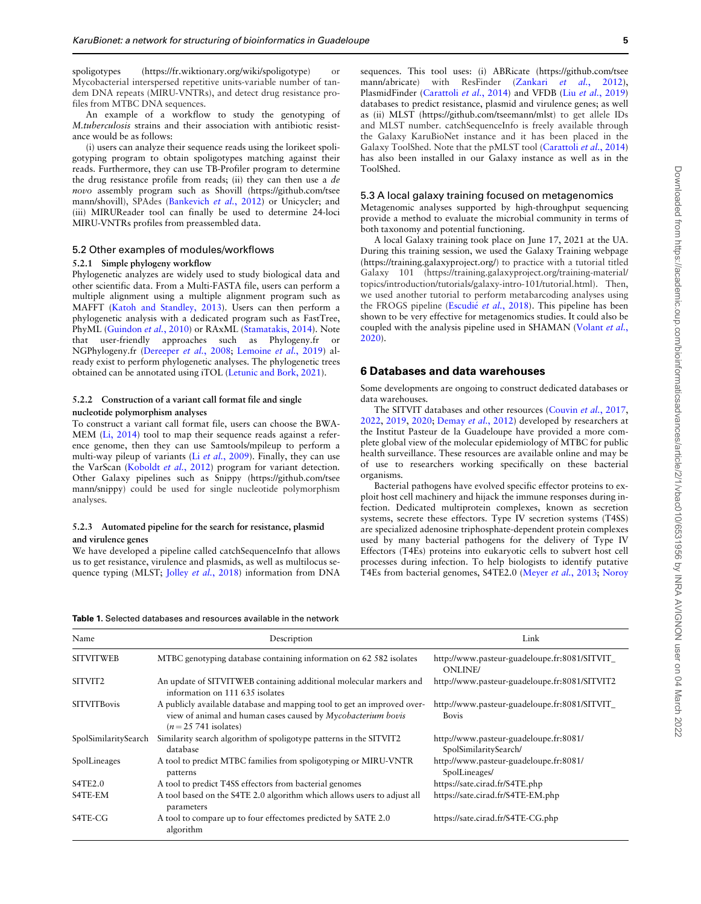<span id="page-4-0"></span>spoligotypes ([https://fr.wiktionary.org/wiki/spoligotype\)](https://fr.wiktionary.org/wiki/spoligotype) or Mycobacterial interspersed repetitive units-variable number of tandem DNA repeats (MIRU-VNTRs), and detect drug resistance profiles from MTBC DNA sequences.

An example of a workflow to study the genotyping of M.tuberculosis strains and their association with antibiotic resistance would be as follows:

(i) users can analyze their sequence reads using the lorikeet spoligotyping program to obtain spoligotypes matching against their reads. Furthermore, they can use TB-Profiler program to determine the drug resistance profile from reads; (ii) they can then use a de novo assembly program such as Shovill [\(https://github.com/tsee](https://github.com/tseemann/shovill) [mann/shovill](https://github.com/tseemann/shovill)), SPAdes ([Bankevich](#page-6-0) et al., 2012) or Unicycler; and (iii) MIRUReader tool can finally be used to determine 24-loci MIRU-VNTRs profiles from preassembled data.

#### 5.2 Other examples of modules/workflows

#### 5.2.1 Simple phylogeny workflow

Phylogenetic analyzes are widely used to study biological data and other scientific data. From a Multi-FASTA file, users can perform a multiple alignment using a multiple alignment program such as MAFFT ([Katoh and Standley, 2013\)](#page-6-0). Users can then perform a phylogenetic analysis with a dedicated program such as FastTree, PhyML ([Guindon](#page-6-0) et al., 2010) or RAxML [\(Stamatakis, 2014\)](#page-6-0). Note that user-friendly approaches such as Phylogeny.fr or NGPhylogeny.fr ([Dereeper](#page-6-0) et al., 2008; [Lemoine](#page-6-0) et al., 2019) already exist to perform phylogenetic analyses. The phylogenetic trees obtained can be annotated using iTOL ([Letunic and Bork, 2021\)](#page-6-0).

#### 5.2.2 Construction of a variant call format file and single nucleotide polymorphism analyses

To construct a variant call format file, users can choose the BWA-MEM ([Li, 2014\)](#page-6-0) tool to map their sequence reads against a reference genome, then they can use Samtools/mpileup to perform a multi-way pileup of variants (Li et al.[, 2009\)](#page-6-0). Finally, they can use the VarScan ([Koboldt](#page-6-0) et al., 2012) program for variant detection. Other Galaxy pipelines such as Snippy [\(https://github.com/tsee](https://github.com/tseemann/snippy) [mann/snippy](https://github.com/tseemann/snippy)) could be used for single nucleotide polymorphism analyses.

#### 5.2.3 Automated pipeline for the search for resistance, plasmid and virulence genes

We have developed a pipeline called catchSequenceInfo that allows us to get resistance, virulence and plasmids, as well as multilocus se-quence typing (MLST; Jolley et al.[, 2018\)](#page-6-0) information from DNA

sequences. This tool uses: (i) ABRicate [\(https://github.com/tsee](https://github.com/tseemann/abricate) [mann/abricate](https://github.com/tseemann/abricate)) with ResFinder (Zankari et al.[, 2012](#page-6-0)), PlasmidFinder ([Carattoli](#page-6-0) et al., 2014) and VFDB (Liu et al.[, 2019](#page-6-0)) databases to predict resistance, plasmid and virulence genes; as well as (ii) MLST (<https://github.com/tseemann/mlst>) to get allele IDs and MLST number. catchSequenceInfo is freely available through the Galaxy KaruBioNet instance and it has been placed in the Galaxy ToolShed. Note that the pMLST tool ([Carattoli](#page-6-0) et al., 2014) has also been installed in our Galaxy instance as well as in the ToolShed.

#### 5.3 A local galaxy training focused on metagenomics

Metagenomic analyses supported by high-throughput sequencing provide a method to evaluate the microbial community in terms of both taxonomy and potential functioning.

A local Galaxy training took place on June 17, 2021 at the UA. During this training session, we used the Galaxy Training webpage (<https://training.galaxyproject.org/>) to practice with a tutorial titled Galaxy 101 [\(https://training.galaxyproject.org/training-material/](https://training.galaxyproject.org/training-material/topics/introduction/tutorials/galaxy-intro-101/tutorial.html) [topics/introduction/tutorials/galaxy-intro-101/tutorial.html\)](https://training.galaxyproject.org/training-material/topics/introduction/tutorials/galaxy-intro-101/tutorial.html). Then, we used another tutorial to perform metabarcoding analyses using the FROGS pipeline ([Escudi](#page-6-0)é et al.[, 2018](#page-6-0)). This pipeline has been shown to be very effective for metagenomics studies. It could also be coupled with the analysis pipeline used in SHAMAN ([Volant](#page-6-0) et al., [2020\)](#page-6-0).

#### 6 Databases and data warehouses

Some developments are ongoing to construct dedicated databases or data warehouses.

The SITVIT databases and other resources ([Couvin](#page-6-0) et al., 2017, [2022,](#page-6-0) [2019](#page-6-0), [2020;](#page-6-0) [Demay](#page-6-0) et al., 2012) developed by researchers at the Institut Pasteur de la Guadeloupe have provided a more complete global view of the molecular epidemiology of MTBC for public health surveillance. These resources are available online and may be of use to researchers working specifically on these bacterial organisms.

Bacterial pathogens have evolved specific effector proteins to exploit host cell machinery and hijack the immune responses during infection. Dedicated multiprotein complexes, known as secretion systems, secrete these effectors. Type IV secretion systems (T4SS) are specialized adenosine triphosphate-dependent protein complexes used by many bacterial pathogens for the delivery of Type IV Effectors (T4Es) proteins into eukaryotic cells to subvert host cell processes during infection. To help biologists to identify putative T4Es from bacterial genomes, S4TE2.0 (Meyer et al.[, 2013;](#page-6-0) [Noroy](#page-6-0)

Table 1. Selected databases and resources available in the network

| Name                 | Description                                                                                                                                                      | Link                                                            |
|----------------------|------------------------------------------------------------------------------------------------------------------------------------------------------------------|-----------------------------------------------------------------|
| <b>SITVITWEB</b>     | MTBC genotyping database containing information on 62 582 isolates                                                                                               | http://www.pasteur-guadeloupe.fr:8081/SITVIT_<br><b>ONLINE</b>  |
| SITVIT <sub>2</sub>  | An update of SITVITWEB containing additional molecular markers and<br>information on 111 635 isolates                                                            | http://www.pasteur-guadeloupe.fr:8081/SITVIT2                   |
| <b>SITVITBovis</b>   | A publicly available database and mapping tool to get an improved over-<br>view of animal and human cases caused by Mycobacterium bovis<br>$(n=25 741$ isolates) | http://www.pasteur-guadeloupe.fr:8081/SITVIT_<br><b>Bovis</b>   |
| SpolSimilaritySearch | Similarity search algorithm of spoligotype patterns in the SITVIT2<br>database                                                                                   | http://www.pasteur-guadeloupe.fr:8081/<br>SpolSimilaritySearch/ |
| SpolLineages         | A tool to predict MTBC families from spoligotyping or MIRU-VNTR<br>patterns                                                                                      | http://www.pasteur-guadeloupe.fr:8081/<br>SpolLineages/         |
| S4TE2.0              | A tool to predict T4SS effectors from bacterial genomes                                                                                                          | https://sate.cirad.fr/S4TE.php                                  |
| S4TE-EM              | A tool based on the S4TE 2.0 algorithm which allows users to adjust all<br>parameters                                                                            | https://sate.cirad.fr/S4TE-EM.php                               |
| S4TE-CG              | A tool to compare up to four effectomes predicted by SATE 2.0<br>algorithm                                                                                       | https://sate.cirad.fr/S4TE-CG.php                               |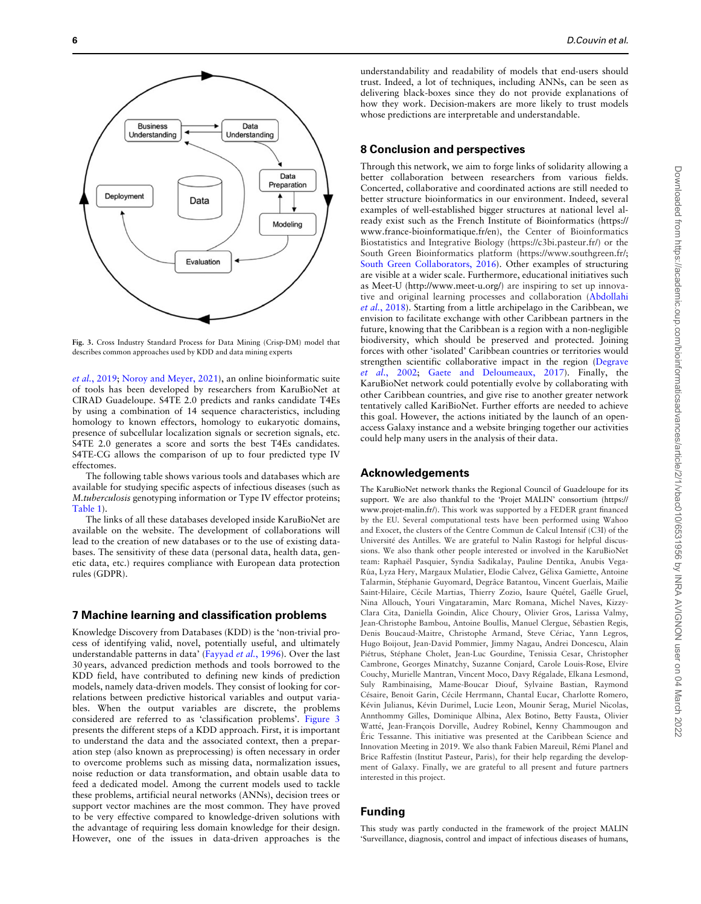

Fig. 3. Cross Industry Standard Process for Data Mining (Crisp-DM) model that describes common approaches used by KDD and data mining experts

et al.[, 2019](#page-6-0); [Noroy and Meyer, 2021\)](#page-6-0), an online bioinformatic suite of tools has been developed by researchers from KaruBioNet at CIRAD Guadeloupe. S4TE 2.0 predicts and ranks candidate T4Es by using a combination of 14 sequence characteristics, including homology to known effectors, homology to eukaryotic domains, presence of subcellular localization signals or secretion signals, etc. S4TE 2.0 generates a score and sorts the best T4Es candidates. S4TE-CG allows the comparison of up to four predicted type IV effectomes.

The following table shows various tools and databases which are available for studying specific aspects of infectious diseases (such as M.tuberculosis genotyping information or Type IV effector proteins; [Table 1](#page-4-0)).

The links of all these databases developed inside KaruBioNet are available on the website. The development of collaborations will lead to the creation of new databases or to the use of existing databases. The sensitivity of these data (personal data, health data, genetic data, etc.) requires compliance with European data protection rules (GDPR).

#### 7 Machine learning and classification problems

Knowledge Discovery from Databases (KDD) is the 'non-trivial process of identifying valid, novel, potentially useful, and ultimately understandable patterns in data' [\(Fayyad](#page-6-0) et al., 1996). Over the last 30 years, advanced prediction methods and tools borrowed to the KDD field, have contributed to defining new kinds of prediction models, namely data-driven models. They consist of looking for correlations between predictive historical variables and output variables. When the output variables are discrete, the problems considered are referred to as 'classification problems'. Figure 3 presents the different steps of a KDD approach. First, it is important to understand the data and the associated context, then a preparation step (also known as preprocessing) is often necessary in order to overcome problems such as missing data, normalization issues, noise reduction or data transformation, and obtain usable data to feed a dedicated model. Among the current models used to tackle these problems, artificial neural networks (ANNs), decision trees or support vector machines are the most common. They have proved to be very effective compared to knowledge-driven solutions with the advantage of requiring less domain knowledge for their design. However, one of the issues in data-driven approaches is the

understandability and readability of models that end-users should trust. Indeed, a lot of techniques, including ANNs, can be seen as delivering black-boxes since they do not provide explanations of how they work. Decision-makers are more likely to trust models whose predictions are interpretable and understandable.

## 8 Conclusion and perspectives

Through this network, we aim to forge links of solidarity allowing a better collaboration between researchers from various fields. Concerted, collaborative and coordinated actions are still needed to better structure bioinformatics in our environment. Indeed, several examples of well-established bigger structures at national level already exist such as the French Institute of Bioinformatics [\(https://](https://www.france-bioinformatique.fr/en) [www.france-bioinformatique.fr/en\)](https://www.france-bioinformatique.fr/en), the Center of Bioinformatics Biostatistics and Integrative Biology [\(https://c3bi.pasteur.fr/](https://c3bi.pasteur.fr/)) or the South Green Bioinformatics platform [\(https://www.southgreen.fr/;](https://www.southgreen.fr/) [South Green Collaborators, 2016\)](#page-6-0). Other examples of structuring are visible at a wider scale. Furthermore, educational initiatives such as Meet-U ([http://www.meet-u.org/\)](http://www.meet-u.org/) are inspiring to set up innovative and original learning processes and collaboration [\(Abdollahi](#page-6-0) et al.[, 2018](#page-6-0)). Starting from a little archipelago in the Caribbean, we envision to facilitate exchange with other Caribbean partners in the future, knowing that the Caribbean is a region with a non-negligible biodiversity, which should be preserved and protected. Joining forces with other 'isolated' Caribbean countries or territories would strengthen scientific collaborative impact in the region ([Degrave](#page-6-0) et al.[, 2002;](#page-6-0) [Gaete and Deloumeaux, 2017](#page-6-0)). Finally, the KaruBioNet network could potentially evolve by collaborating with other Caribbean countries, and give rise to another greater network tentatively called KariBioNet. Further efforts are needed to achieve this goal. However, the actions initiated by the launch of an openaccess Galaxy instance and a website bringing together our activities could help many users in the analysis of their data.

#### Acknowledgements

The KaruBioNet network thanks the Regional Council of Guadeloupe for its support. We are also thankful to the 'Projet MALIN' consortium [\(https://](https://www.projet-malin.fr/) [www.projet-malin.fr/\)](https://www.projet-malin.fr/). This work was supported by a FEDER grant financed by the EU. Several computational tests have been performed using Wahoo and Exocet, the clusters of the Centre Commun de Calcul Intensif (C3I) of the Université des Antilles. We are grateful to Nalin Rastogi for helpful discussions. We also thank other people interested or involved in the KaruBioNet team: Raphaël Pasquier, Syndia Sadikalay, Pauline Dentika, Anubis Vega-Rúa, Lyza Hery, Margaux Mulatier, Elodie Calvez, Gélixa Gamiette, Antoine Talarmin, Stéphanie Guyomard, Degrâce Batantou, Vincent Guerlais, Maïlie Saint-Hilaire, Cécile Martias, Thierry Zozio, Isaure Quétel, Gaëlle Gruel, Nina Allouch, Youri Vingataramin, Marc Romana, Michel Naves, Kizzy-Clara Cita, Daniella Goindin, Alice Choury, Olivier Gros, Larissa Valmy, Jean-Christophe Bambou, Antoine Boullis, Manuel Clergue, Sébastien Regis, Denis Boucaud-Maitre, Christophe Armand, Steve Cériac, Yann Legros, Hugo Boijout, Jean-David Pommier, Jimmy Nagau, Andrei Doncescu, Alain Piétrus, Stéphane Cholet, Jean-Luc Gourdine, Tenissia Cesar, Christopher Cambrone, Georges Minatchy, Suzanne Conjard, Carole Louis-Rose, Elvire Couchy, Murielle Mantran, Vincent Moco, Davy Régalade, Elkana Lesmond, Suly Rambinaising, Mame-Boucar Diouf, Sylvaine Bastian, Raymond Césaire, Benoit Garin, Cécile Herrmann, Chantal Eucar, Charlotte Romero, Kévin Julianus, Kévin Durimel, Lucie Leon, Mounir Serag, Muriel Nicolas, Annthommy Gilles, Dominique Albina, Alex Botino, Betty Fausta, Olivier Watté, Jean-François Dorville, Audrey Robinel, Kenny Chammougon and E´ric Tessanne. This initiative was presented at the Caribbean Science and Innovation Meeting in 2019. We also thank Fabien Mareuil, Rémi Planel and Brice Raffestin (Institut Pasteur, Paris), for their help regarding the development of Galaxy. Finally, we are grateful to all present and future partners interested in this project.

## Funding

This study was partly conducted in the framework of the project MALIN 'Surveillance, diagnosis, control and impact of infectious diseases of humans,